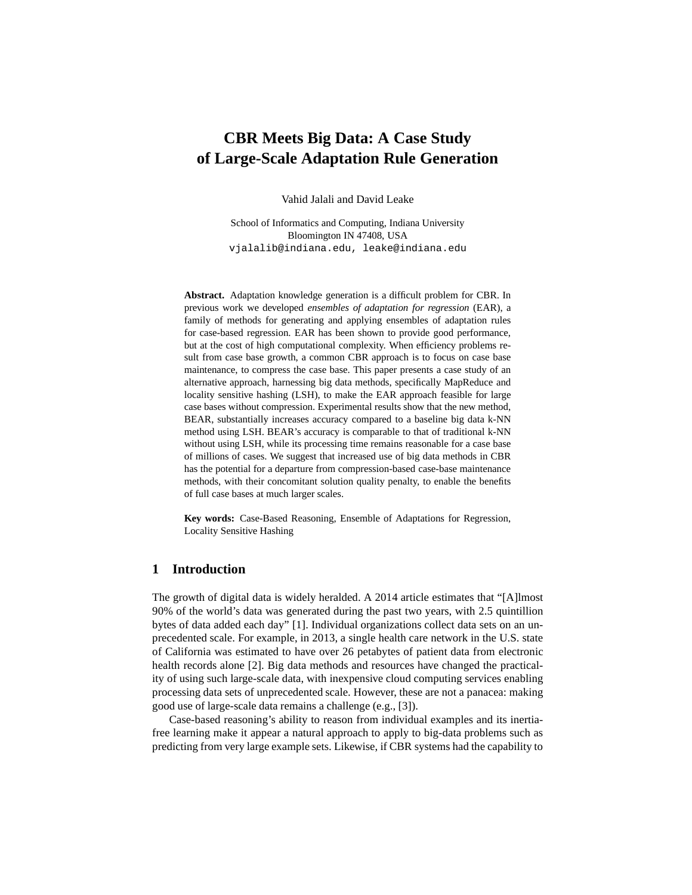# **CBR Meets Big Data: A Case Study of Large-Scale Adaptation Rule Generation**

Vahid Jalali and David Leake

School of Informatics and Computing, Indiana University Bloomington IN 47408, USA vjalalib@indiana.edu, leake@indiana.edu

**Abstract.** Adaptation knowledge generation is a difficult problem for CBR. In previous work we developed *ensembles of adaptation for regression* (EAR), a family of methods for generating and applying ensembles of adaptation rules for case-based regression. EAR has been shown to provide good performance, but at the cost of high computational complexity. When efficiency problems result from case base growth, a common CBR approach is to focus on case base maintenance, to compress the case base. This paper presents a case study of an alternative approach, harnessing big data methods, specifically MapReduce and locality sensitive hashing (LSH), to make the EAR approach feasible for large case bases without compression. Experimental results show that the new method, BEAR, substantially increases accuracy compared to a baseline big data k-NN method using LSH. BEAR's accuracy is comparable to that of traditional k-NN without using LSH, while its processing time remains reasonable for a case base of millions of cases. We suggest that increased use of big data methods in CBR has the potential for a departure from compression-based case-base maintenance methods, with their concomitant solution quality penalty, to enable the benefits of full case bases at much larger scales.

**Key words:** Case-Based Reasoning, Ensemble of Adaptations for Regression, Locality Sensitive Hashing

# **1 Introduction**

The growth of digital data is widely heralded. A 2014 article estimates that "[A]lmost 90% of the world's data was generated during the past two years, with 2.5 quintillion bytes of data added each day" [1]. Individual organizations collect data sets on an unprecedented scale. For example, in 2013, a single health care network in the U.S. state of California was estimated to have over 26 petabytes of patient data from electronic health records alone [2]. Big data methods and resources have changed the practicality of using such large-scale data, with inexpensive cloud computing services enabling processing data sets of unprecedented scale. However, these are not a panacea: making good use of large-scale data remains a challenge (e.g., [3]).

Case-based reasoning's ability to reason from individual examples and its inertiafree learning make it appear a natural approach to apply to big-data problems such as predicting from very large example sets. Likewise, if CBR systems had the capability to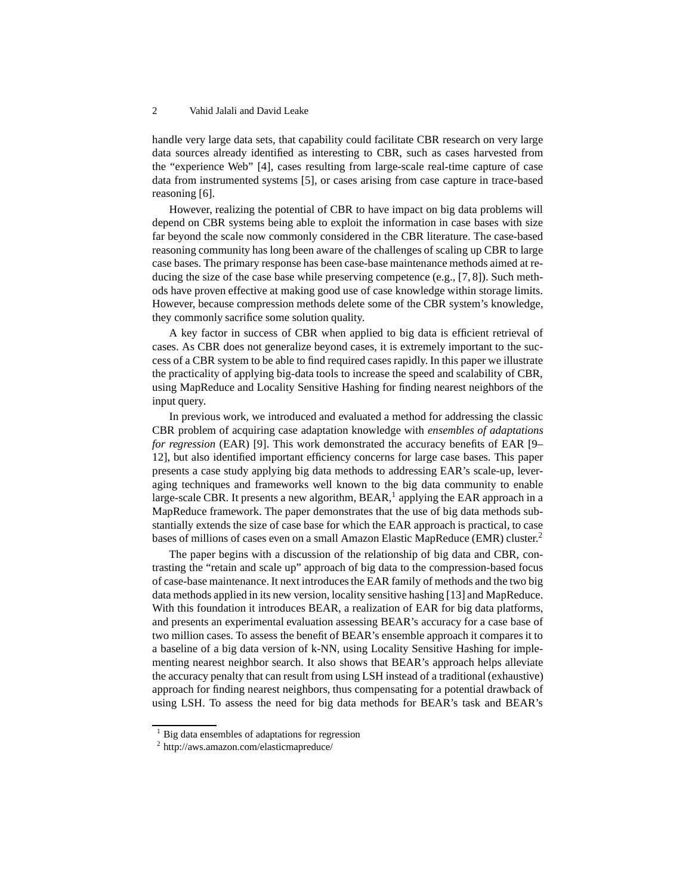handle very large data sets, that capability could facilitate CBR research on very large data sources already identified as interesting to CBR, such as cases harvested from the "experience Web" [4], cases resulting from large-scale real-time capture of case data from instrumented systems [5], or cases arising from case capture in trace-based reasoning [6].

However, realizing the potential of CBR to have impact on big data problems will depend on CBR systems being able to exploit the information in case bases with size far beyond the scale now commonly considered in the CBR literature. The case-based reasoning community has long been aware of the challenges of scaling up CBR to large case bases. The primary response has been case-base maintenance methods aimed at reducing the size of the case base while preserving competence (e.g., [7, 8]). Such methods have proven effective at making good use of case knowledge within storage limits. However, because compression methods delete some of the CBR system's knowledge, they commonly sacrifice some solution quality.

A key factor in success of CBR when applied to big data is efficient retrieval of cases. As CBR does not generalize beyond cases, it is extremely important to the success of a CBR system to be able to find required cases rapidly. In this paper we illustrate the practicality of applying big-data tools to increase the speed and scalability of CBR, using MapReduce and Locality Sensitive Hashing for finding nearest neighbors of the input query.

In previous work, we introduced and evaluated a method for addressing the classic CBR problem of acquiring case adaptation knowledge with *ensembles of adaptations for regression* (EAR) [9]. This work demonstrated the accuracy benefits of EAR [9– 12], but also identified important efficiency concerns for large case bases. This paper presents a case study applying big data methods to addressing EAR's scale-up, leveraging techniques and frameworks well known to the big data community to enable large-scale CBR. It presents a new algorithm,  $BEAR$ , applying the EAR approach in a MapReduce framework. The paper demonstrates that the use of big data methods substantially extends the size of case base for which the EAR approach is practical, to case bases of millions of cases even on a small Amazon Elastic MapReduce (EMR) cluster.<sup>2</sup>

The paper begins with a discussion of the relationship of big data and CBR, contrasting the "retain and scale up" approach of big data to the compression-based focus of case-base maintenance. It next introduces the EAR family of methods and the two big data methods applied in its new version, locality sensitive hashing [13] and MapReduce. With this foundation it introduces BEAR, a realization of EAR for big data platforms, and presents an experimental evaluation assessing BEAR's accuracy for a case base of two million cases. To assess the benefit of BEAR's ensemble approach it compares it to a baseline of a big data version of k-NN, using Locality Sensitive Hashing for implementing nearest neighbor search. It also shows that BEAR's approach helps alleviate the accuracy penalty that can result from using LSH instead of a traditional (exhaustive) approach for finding nearest neighbors, thus compensating for a potential drawback of using LSH. To assess the need for big data methods for BEAR's task and BEAR's

 $<sup>1</sup>$  Big data ensembles of adaptations for regression</sup>

<sup>&</sup>lt;sup>2</sup> http://aws.amazon.com/elasticmapreduce/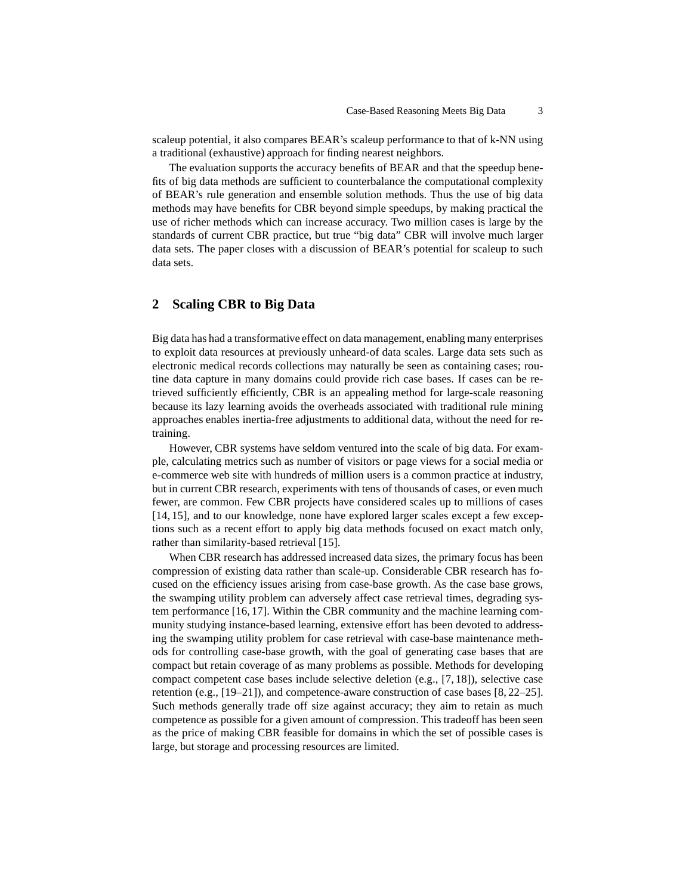scaleup potential, it also compares BEAR's scaleup performance to that of k-NN using a traditional (exhaustive) approach for finding nearest neighbors.

The evaluation supports the accuracy benefits of BEAR and that the speedup benefits of big data methods are sufficient to counterbalance the computational complexity of BEAR's rule generation and ensemble solution methods. Thus the use of big data methods may have benefits for CBR beyond simple speedups, by making practical the use of richer methods which can increase accuracy. Two million cases is large by the standards of current CBR practice, but true "big data" CBR will involve much larger data sets. The paper closes with a discussion of BEAR's potential for scaleup to such data sets.

# **2 Scaling CBR to Big Data**

Big data has had a transformative effect on data management, enabling many enterprises to exploit data resources at previously unheard-of data scales. Large data sets such as electronic medical records collections may naturally be seen as containing cases; routine data capture in many domains could provide rich case bases. If cases can be retrieved sufficiently efficiently, CBR is an appealing method for large-scale reasoning because its lazy learning avoids the overheads associated with traditional rule mining approaches enables inertia-free adjustments to additional data, without the need for retraining.

However, CBR systems have seldom ventured into the scale of big data. For example, calculating metrics such as number of visitors or page views for a social media or e-commerce web site with hundreds of million users is a common practice at industry, but in current CBR research, experiments with tens of thousands of cases, or even much fewer, are common. Few CBR projects have considered scales up to millions of cases [14, 15], and to our knowledge, none have explored larger scales except a few exceptions such as a recent effort to apply big data methods focused on exact match only, rather than similarity-based retrieval [15].

When CBR research has addressed increased data sizes, the primary focus has been compression of existing data rather than scale-up. Considerable CBR research has focused on the efficiency issues arising from case-base growth. As the case base grows, the swamping utility problem can adversely affect case retrieval times, degrading system performance [16, 17]. Within the CBR community and the machine learning community studying instance-based learning, extensive effort has been devoted to addressing the swamping utility problem for case retrieval with case-base maintenance methods for controlling case-base growth, with the goal of generating case bases that are compact but retain coverage of as many problems as possible. Methods for developing compact competent case bases include selective deletion (e.g., [7, 18]), selective case retention (e.g., [19–21]), and competence-aware construction of case bases [8, 22–25]. Such methods generally trade off size against accuracy; they aim to retain as much competence as possible for a given amount of compression. This tradeoff has been seen as the price of making CBR feasible for domains in which the set of possible cases is large, but storage and processing resources are limited.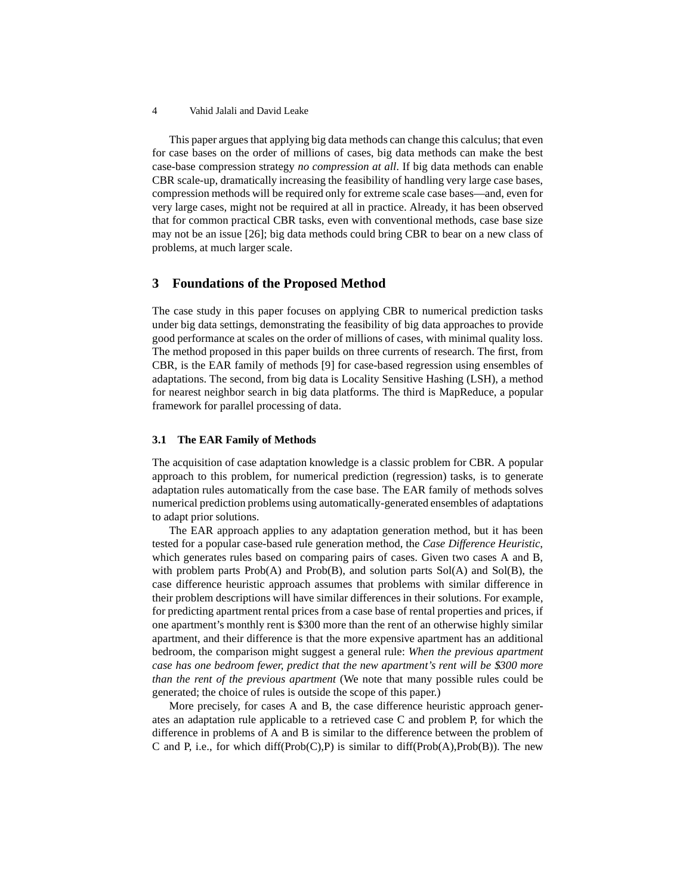This paper argues that applying big data methods can change this calculus; that even for case bases on the order of millions of cases, big data methods can make the best case-base compression strategy *no compression at all*. If big data methods can enable CBR scale-up, dramatically increasing the feasibility of handling very large case bases, compression methods will be required only for extreme scale case bases—and, even for very large cases, might not be required at all in practice. Already, it has been observed that for common practical CBR tasks, even with conventional methods, case base size may not be an issue [26]; big data methods could bring CBR to bear on a new class of problems, at much larger scale.

### **3 Foundations of the Proposed Method**

The case study in this paper focuses on applying CBR to numerical prediction tasks under big data settings, demonstrating the feasibility of big data approaches to provide good performance at scales on the order of millions of cases, with minimal quality loss. The method proposed in this paper builds on three currents of research. The first, from CBR, is the EAR family of methods [9] for case-based regression using ensembles of adaptations. The second, from big data is Locality Sensitive Hashing (LSH), a method for nearest neighbor search in big data platforms. The third is MapReduce, a popular framework for parallel processing of data.

#### **3.1 The EAR Family of Methods**

The acquisition of case adaptation knowledge is a classic problem for CBR. A popular approach to this problem, for numerical prediction (regression) tasks, is to generate adaptation rules automatically from the case base. The EAR family of methods solves numerical prediction problems using automatically-generated ensembles of adaptations to adapt prior solutions.

The EAR approach applies to any adaptation generation method, but it has been tested for a popular case-based rule generation method, the *Case Difference Heuristic*, which generates rules based on comparing pairs of cases. Given two cases A and B, with problem parts Prob(A) and Prob(B), and solution parts Sol(A) and Sol(B), the case difference heuristic approach assumes that problems with similar difference in their problem descriptions will have similar differences in their solutions. For example, for predicting apartment rental prices from a case base of rental properties and prices, if one apartment's monthly rent is \$300 more than the rent of an otherwise highly similar apartment, and their difference is that the more expensive apartment has an additional bedroom, the comparison might suggest a general rule: *When the previous apartment case has one bedroom fewer, predict that the new apartment's rent will be* \$*300 more than the rent of the previous apartment* (We note that many possible rules could be generated; the choice of rules is outside the scope of this paper.)

More precisely, for cases A and B, the case difference heuristic approach generates an adaptation rule applicable to a retrieved case C and problem P, for which the difference in problems of A and B is similar to the difference between the problem of C and P, i.e., for which diff( $Prob(C)$ , P) is similar to diff( $Prob(A)$ ,  $Prob(B)$ ). The new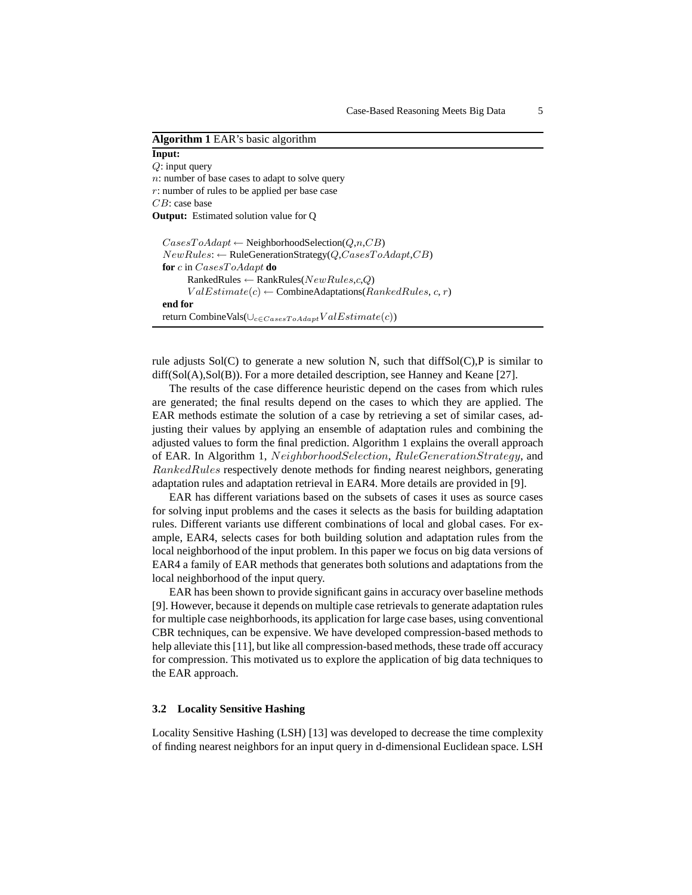| <b>Algorithm 1 EAR's basic algorithm</b>                                   |  |  |  |
|----------------------------------------------------------------------------|--|--|--|
| Input:                                                                     |  |  |  |
| $Q$ : input query                                                          |  |  |  |
| $n:$ number of base cases to adapt to solve query                          |  |  |  |
| $r$ : number of rules to be applied per base case                          |  |  |  |
| $CB$ : case base                                                           |  |  |  |
| <b>Output:</b> Estimated solution value for Q                              |  |  |  |
|                                                                            |  |  |  |
| $\text{CasesToAdapt} \leftarrow$ Neighborhood Selection( $Q, n, CB$ )      |  |  |  |
| $NewRules: \leftarrow$ Rule Generation Strategy(Q, Cases To Adapt, CB)     |  |  |  |
| <b>for</b> c in $\text{CasesToAdapt}\,\textbf{do}$                         |  |  |  |
| RankedRules $\leftarrow$ RankRules( $NewRules, c, Q$ )                     |  |  |  |
| $ValEstimate(c) \leftarrow$ CombineAdaptations( <i>RankedRules, c, r</i> ) |  |  |  |
| end for                                                                    |  |  |  |
| return CombineVals( $\cup_{c \in CasesToAdapt} ValEstimate(c)$ )           |  |  |  |

rule adjusts  $Sol(C)$  to generate a new solution N, such that diffSol $(C)$ , P is similar to diff(Sol(A),Sol(B)). For a more detailed description, see Hanney and Keane [27].

The results of the case difference heuristic depend on the cases from which rules are generated; the final results depend on the cases to which they are applied. The EAR methods estimate the solution of a case by retrieving a set of similar cases, adjusting their values by applying an ensemble of adaptation rules and combining the adjusted values to form the final prediction. Algorithm 1 explains the overall approach of EAR. In Algorithm 1, NeighborhoodSelection, RuleGenerationStrategy, and RankedRules respectively denote methods for finding nearest neighbors, generating adaptation rules and adaptation retrieval in EAR4. More details are provided in [9].

EAR has different variations based on the subsets of cases it uses as source cases for solving input problems and the cases it selects as the basis for building adaptation rules. Different variants use different combinations of local and global cases. For example, EAR4, selects cases for both building solution and adaptation rules from the local neighborhood of the input problem. In this paper we focus on big data versions of EAR4 a family of EAR methods that generates both solutions and adaptations from the local neighborhood of the input query.

EAR has been shown to provide significant gains in accuracy over baseline methods [9]. However, because it depends on multiple case retrievals to generate adaptation rules for multiple case neighborhoods, its application for large case bases, using conventional CBR techniques, can be expensive. We have developed compression-based methods to help alleviate this [11], but like all compression-based methods, these trade off accuracy for compression. This motivated us to explore the application of big data techniques to the EAR approach.

#### **3.2 Locality Sensitive Hashing**

Locality Sensitive Hashing (LSH) [13] was developed to decrease the time complexity of finding nearest neighbors for an input query in d-dimensional Euclidean space. LSH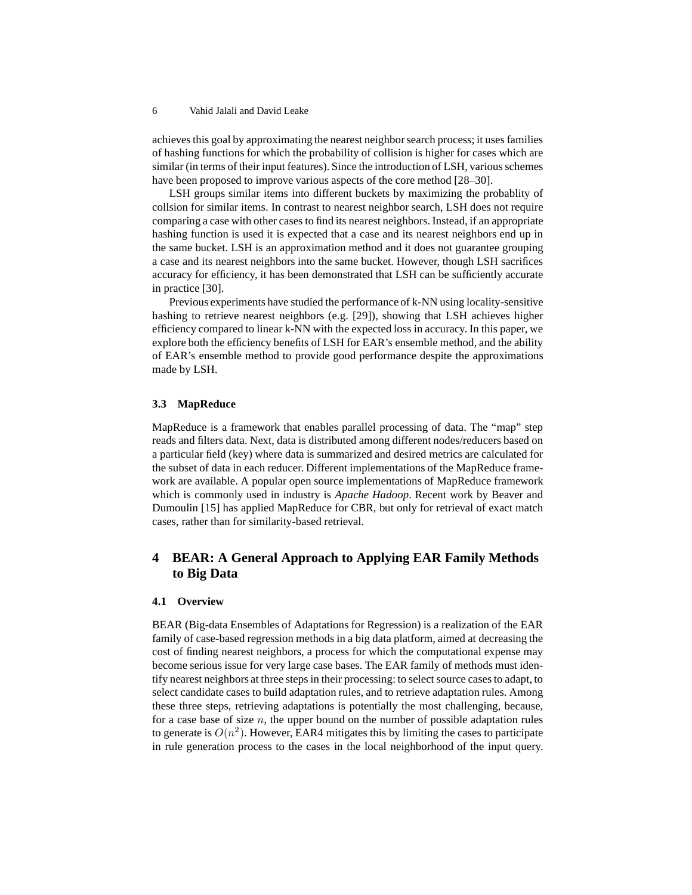achieves this goal by approximating the nearest neighbor search process; it uses families of hashing functions for which the probability of collision is higher for cases which are similar (in terms of their input features). Since the introduction of LSH, various schemes have been proposed to improve various aspects of the core method [28–30].

LSH groups similar items into different buckets by maximizing the probablity of collsion for similar items. In contrast to nearest neighbor search, LSH does not require comparing a case with other cases to find its nearest neighbors. Instead, if an appropriate hashing function is used it is expected that a case and its nearest neighbors end up in the same bucket. LSH is an approximation method and it does not guarantee grouping a case and its nearest neighbors into the same bucket. However, though LSH sacrifices accuracy for efficiency, it has been demonstrated that LSH can be sufficiently accurate in practice [30].

Previous experiments have studied the performance of k-NN using locality-sensitive hashing to retrieve nearest neighbors (e.g. [29]), showing that LSH achieves higher efficiency compared to linear k-NN with the expected loss in accuracy. In this paper, we explore both the efficiency benefits of LSH for EAR's ensemble method, and the ability of EAR's ensemble method to provide good performance despite the approximations made by LSH.

#### **3.3 MapReduce**

MapReduce is a framework that enables parallel processing of data. The "map" step reads and filters data. Next, data is distributed among different nodes/reducers based on a particular field (key) where data is summarized and desired metrics are calculated for the subset of data in each reducer. Different implementations of the MapReduce framework are available. A popular open source implementations of MapReduce framework which is commonly used in industry is *Apache Hadoop*. Recent work by Beaver and Dumoulin [15] has applied MapReduce for CBR, but only for retrieval of exact match cases, rather than for similarity-based retrieval.

# **4 BEAR: A General Approach to Applying EAR Family Methods to Big Data**

#### **4.1 Overview**

BEAR (Big-data Ensembles of Adaptations for Regression) is a realization of the EAR family of case-based regression methods in a big data platform, aimed at decreasing the cost of finding nearest neighbors, a process for which the computational expense may become serious issue for very large case bases. The EAR family of methods must identify nearest neighbors at three steps in their processing: to select source cases to adapt, to select candidate cases to build adaptation rules, and to retrieve adaptation rules. Among these three steps, retrieving adaptations is potentially the most challenging, because, for a case base of size  $n$ , the upper bound on the number of possible adaptation rules to generate is  $O(n^2)$ . However, EAR4 mitigates this by limiting the cases to participate in rule generation process to the cases in the local neighborhood of the input query.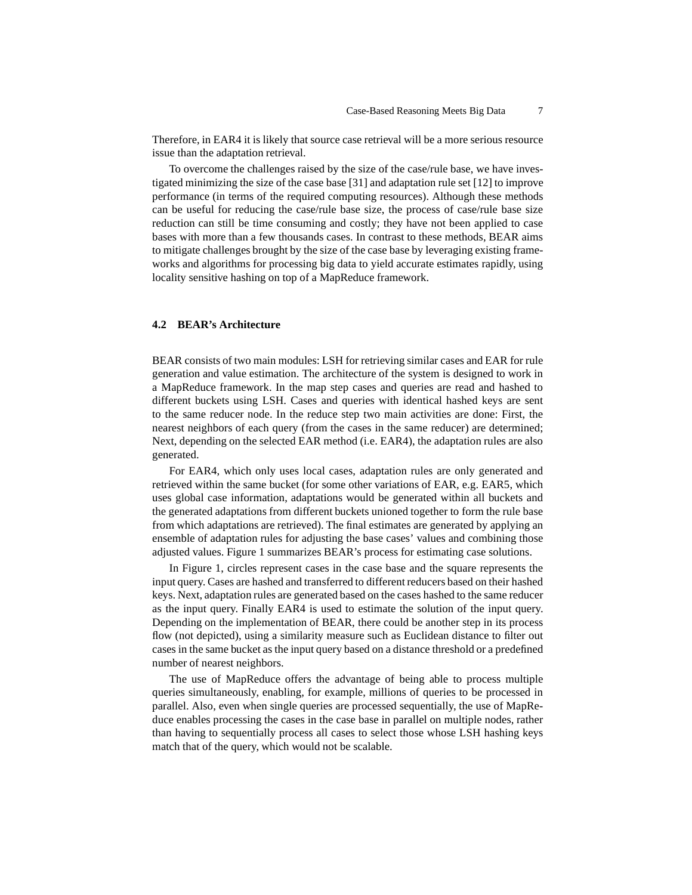Therefore, in EAR4 it is likely that source case retrieval will be a more serious resource issue than the adaptation retrieval.

To overcome the challenges raised by the size of the case/rule base, we have investigated minimizing the size of the case base [31] and adaptation rule set [12] to improve performance (in terms of the required computing resources). Although these methods can be useful for reducing the case/rule base size, the process of case/rule base size reduction can still be time consuming and costly; they have not been applied to case bases with more than a few thousands cases. In contrast to these methods, BEAR aims to mitigate challenges brought by the size of the case base by leveraging existing frameworks and algorithms for processing big data to yield accurate estimates rapidly, using locality sensitive hashing on top of a MapReduce framework.

#### **4.2 BEAR's Architecture**

BEAR consists of two main modules: LSH for retrieving similar cases and EAR for rule generation and value estimation. The architecture of the system is designed to work in a MapReduce framework. In the map step cases and queries are read and hashed to different buckets using LSH. Cases and queries with identical hashed keys are sent to the same reducer node. In the reduce step two main activities are done: First, the nearest neighbors of each query (from the cases in the same reducer) are determined; Next, depending on the selected EAR method (i.e. EAR4), the adaptation rules are also generated.

For EAR4, which only uses local cases, adaptation rules are only generated and retrieved within the same bucket (for some other variations of EAR, e.g. EAR5, which uses global case information, adaptations would be generated within all buckets and the generated adaptations from different buckets unioned together to form the rule base from which adaptations are retrieved). The final estimates are generated by applying an ensemble of adaptation rules for adjusting the base cases' values and combining those adjusted values. Figure 1 summarizes BEAR's process for estimating case solutions.

In Figure 1, circles represent cases in the case base and the square represents the input query. Cases are hashed and transferred to different reducers based on their hashed keys. Next, adaptation rules are generated based on the cases hashed to the same reducer as the input query. Finally EAR4 is used to estimate the solution of the input query. Depending on the implementation of BEAR, there could be another step in its process flow (not depicted), using a similarity measure such as Euclidean distance to filter out cases in the same bucket as the input query based on a distance threshold or a predefined number of nearest neighbors.

The use of MapReduce offers the advantage of being able to process multiple queries simultaneously, enabling, for example, millions of queries to be processed in parallel. Also, even when single queries are processed sequentially, the use of MapReduce enables processing the cases in the case base in parallel on multiple nodes, rather than having to sequentially process all cases to select those whose LSH hashing keys match that of the query, which would not be scalable.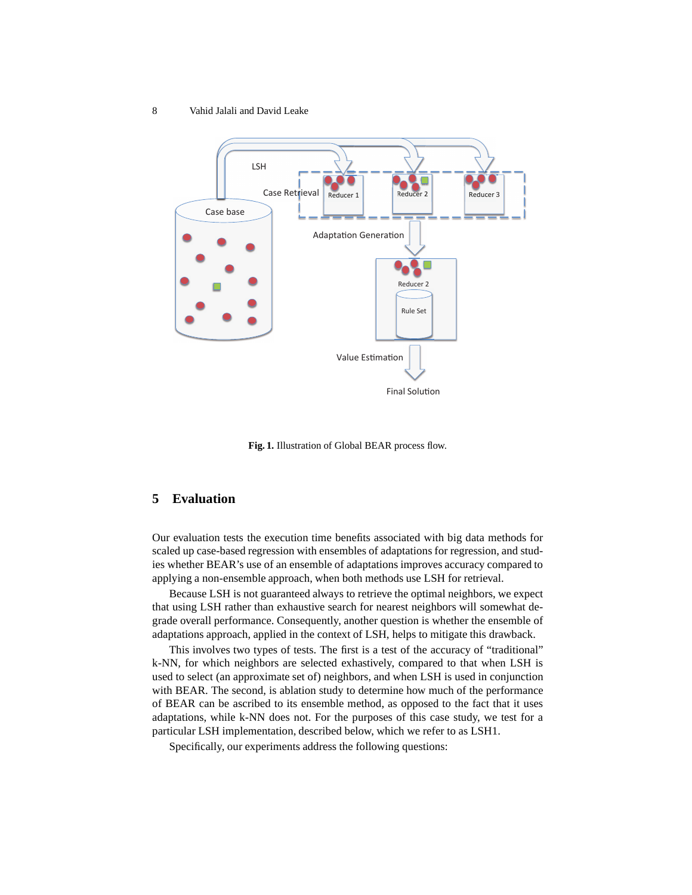8 Vahid Jalali and David Leake



**Fig. 1.** Illustration of Global BEAR process flow.

# **5 Evaluation**

Our evaluation tests the execution time benefits associated with big data methods for scaled up case-based regression with ensembles of adaptations for regression, and studies whether BEAR's use of an ensemble of adaptations improves accuracy compared to applying a non-ensemble approach, when both methods use LSH for retrieval.

Because LSH is not guaranteed always to retrieve the optimal neighbors, we expect that using LSH rather than exhaustive search for nearest neighbors will somewhat degrade overall performance. Consequently, another question is whether the ensemble of adaptations approach, applied in the context of LSH, helps to mitigate this drawback.

This involves two types of tests. The first is a test of the accuracy of "traditional" k-NN, for which neighbors are selected exhastively, compared to that when LSH is used to select (an approximate set of) neighbors, and when LSH is used in conjunction with BEAR. The second, is ablation study to determine how much of the performance of BEAR can be ascribed to its ensemble method, as opposed to the fact that it uses adaptations, while k-NN does not. For the purposes of this case study, we test for a particular LSH implementation, described below, which we refer to as LSH1.

Specifically, our experiments address the following questions: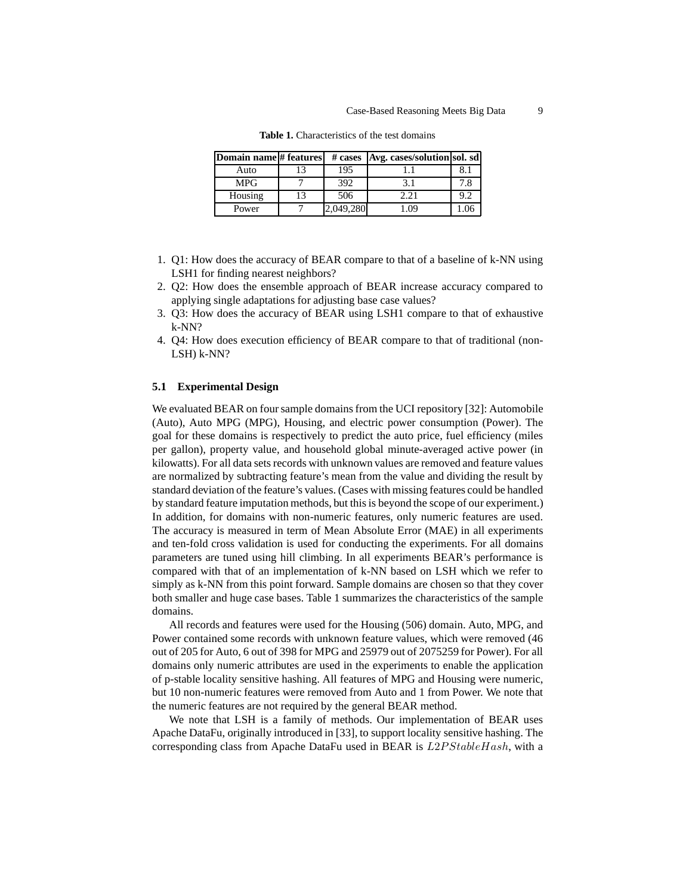| Domain name # features |    |           | # cases   Avg. cases/solution   sol. sd |      |
|------------------------|----|-----------|-----------------------------------------|------|
| Auto                   |    | 195       |                                         |      |
| <b>MPG</b>             |    | 392       | 3.1                                     | 7.8  |
| Housing                | 13 | 506       | 2.21                                    | 9.2  |
| Power                  |    | 2,049,280 | 1.09                                    | 1.06 |

**Table 1.** Characteristics of the test domains

- 1. Q1: How does the accuracy of BEAR compare to that of a baseline of k-NN using LSH1 for finding nearest neighbors?
- 2. Q2: How does the ensemble approach of BEAR increase accuracy compared to applying single adaptations for adjusting base case values?
- 3. Q3: How does the accuracy of BEAR using LSH1 compare to that of exhaustive k-NN?
- 4. Q4: How does execution efficiency of BEAR compare to that of traditional (non-LSH) k-NN?

#### **5.1 Experimental Design**

We evaluated BEAR on four sample domains from the UCI repository [32]: Automobile (Auto), Auto MPG (MPG), Housing, and electric power consumption (Power). The goal for these domains is respectively to predict the auto price, fuel efficiency (miles per gallon), property value, and household global minute-averaged active power (in kilowatts). For all data sets records with unknown values are removed and feature values are normalized by subtracting feature's mean from the value and dividing the result by standard deviation of the feature's values. (Cases with missing features could be handled by standard feature imputation methods, but this is beyond the scope of our experiment.) In addition, for domains with non-numeric features, only numeric features are used. The accuracy is measured in term of Mean Absolute Error (MAE) in all experiments and ten-fold cross validation is used for conducting the experiments. For all domains parameters are tuned using hill climbing. In all experiments BEAR's performance is compared with that of an implementation of k-NN based on LSH which we refer to simply as k-NN from this point forward. Sample domains are chosen so that they cover both smaller and huge case bases. Table 1 summarizes the characteristics of the sample domains.

All records and features were used for the Housing (506) domain. Auto, MPG, and Power contained some records with unknown feature values, which were removed (46 out of 205 for Auto, 6 out of 398 for MPG and 25979 out of 2075259 for Power). For all domains only numeric attributes are used in the experiments to enable the application of p-stable locality sensitive hashing. All features of MPG and Housing were numeric, but 10 non-numeric features were removed from Auto and 1 from Power. We note that the numeric features are not required by the general BEAR method.

We note that LSH is a family of methods. Our implementation of BEAR uses Apache DataFu, originally introduced in [33], to support locality sensitive hashing. The corresponding class from Apache DataFu used in BEAR is  $L2PS table Hash$ , with a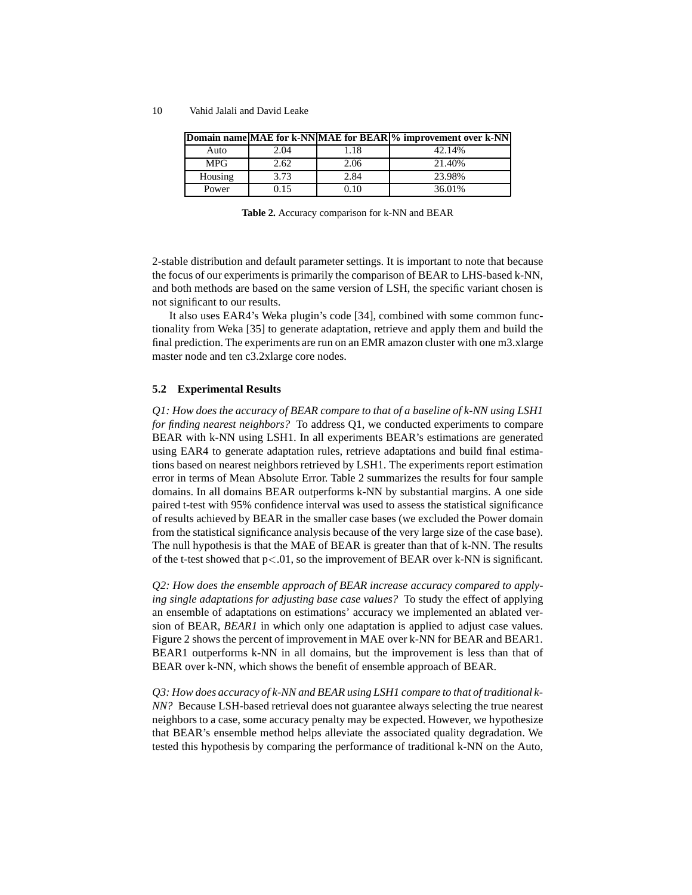|            |      |      | Domain name MAE for k-NN MAE for BEAR % improvement over k-NN |
|------------|------|------|---------------------------------------------------------------|
| Auto       | 2.04 | ⊟18  | 42.14%                                                        |
| <b>MPG</b> | 2.62 | 2.06 | 21.40%                                                        |
| Housing    | 3.73 | 2.84 | 23.98%                                                        |
| Power      | 0.15 | ን 10 | 36.01%                                                        |

**Table 2.** Accuracy comparison for k-NN and BEAR

2-stable distribution and default parameter settings. It is important to note that because the focus of our experiments is primarily the comparison of BEAR to LHS-based k-NN, and both methods are based on the same version of LSH, the specific variant chosen is not significant to our results.

It also uses EAR4's Weka plugin's code [34], combined with some common functionality from Weka [35] to generate adaptation, retrieve and apply them and build the final prediction. The experiments are run on an EMR amazon cluster with one m3.xlarge master node and ten c3.2xlarge core nodes.

#### **5.2 Experimental Results**

*Q1: How does the accuracy of BEAR compare to that of a baseline of k-NN using LSH1 for finding nearest neighbors?* To address Q1, we conducted experiments to compare BEAR with k-NN using LSH1. In all experiments BEAR's estimations are generated using EAR4 to generate adaptation rules, retrieve adaptations and build final estimations based on nearest neighbors retrieved by LSH1. The experiments report estimation error in terms of Mean Absolute Error. Table 2 summarizes the results for four sample domains. In all domains BEAR outperforms k-NN by substantial margins. A one side paired t-test with 95% confidence interval was used to assess the statistical significance of results achieved by BEAR in the smaller case bases (we excluded the Power domain from the statistical significance analysis because of the very large size of the case base). The null hypothesis is that the MAE of BEAR is greater than that of k-NN. The results of the t-test showed that  $p < 0.01$ , so the improvement of BEAR over k-NN is significant.

*Q2: How does the ensemble approach of BEAR increase accuracy compared to applying single adaptations for adjusting base case values?* To study the effect of applying an ensemble of adaptations on estimations' accuracy we implemented an ablated version of BEAR, *BEAR1* in which only one adaptation is applied to adjust case values. Figure 2 shows the percent of improvement in MAE over k-NN for BEAR and BEAR1. BEAR1 outperforms k-NN in all domains, but the improvement is less than that of BEAR over k-NN, which shows the benefit of ensemble approach of BEAR.

*Q3: How does accuracy of k-NN and BEAR using LSH1 compare to that of traditional k-NN?* Because LSH-based retrieval does not guarantee always selecting the true nearest neighbors to a case, some accuracy penalty may be expected. However, we hypothesize that BEAR's ensemble method helps alleviate the associated quality degradation. We tested this hypothesis by comparing the performance of traditional k-NN on the Auto,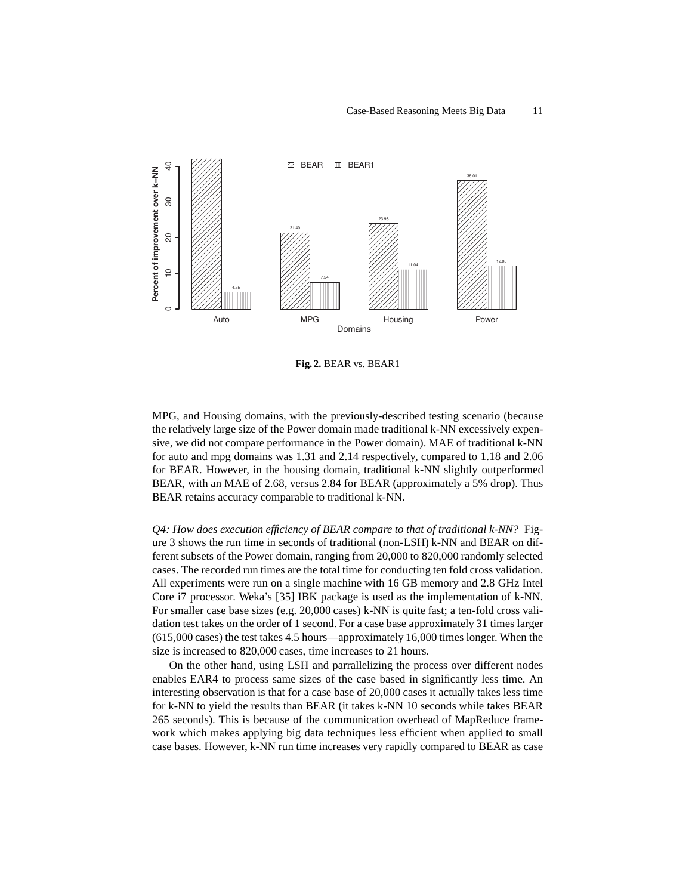

**Fig. 2.** BEAR vs. BEAR1

MPG, and Housing domains, with the previously-described testing scenario (because the relatively large size of the Power domain made traditional k-NN excessively expensive, we did not compare performance in the Power domain). MAE of traditional k-NN for auto and mpg domains was 1.31 and 2.14 respectively, compared to 1.18 and 2.06 for BEAR. However, in the housing domain, traditional k-NN slightly outperformed BEAR, with an MAE of 2.68, versus 2.84 for BEAR (approximately a 5% drop). Thus BEAR retains accuracy comparable to traditional k-NN.

*Q4: How does execution efficiency of BEAR compare to that of traditional k-NN?* Figure 3 shows the run time in seconds of traditional (non-LSH) k-NN and BEAR on different subsets of the Power domain, ranging from 20,000 to 820,000 randomly selected cases. The recorded run times are the total time for conducting ten fold cross validation. All experiments were run on a single machine with 16 GB memory and 2.8 GHz Intel Core i7 processor. Weka's [35] IBK package is used as the implementation of k-NN. For smaller case base sizes (e.g. 20,000 cases) k-NN is quite fast; a ten-fold cross validation test takes on the order of 1 second. For a case base approximately 31 times larger (615,000 cases) the test takes 4.5 hours—approximately 16,000 times longer. When the size is increased to 820,000 cases, time increases to 21 hours.

On the other hand, using LSH and parrallelizing the process over different nodes enables EAR4 to process same sizes of the case based in significantly less time. An interesting observation is that for a case base of 20,000 cases it actually takes less time for k-NN to yield the results than BEAR (it takes k-NN 10 seconds while takes BEAR 265 seconds). This is because of the communication overhead of MapReduce framework which makes applying big data techniques less efficient when applied to small case bases. However, k-NN run time increases very rapidly compared to BEAR as case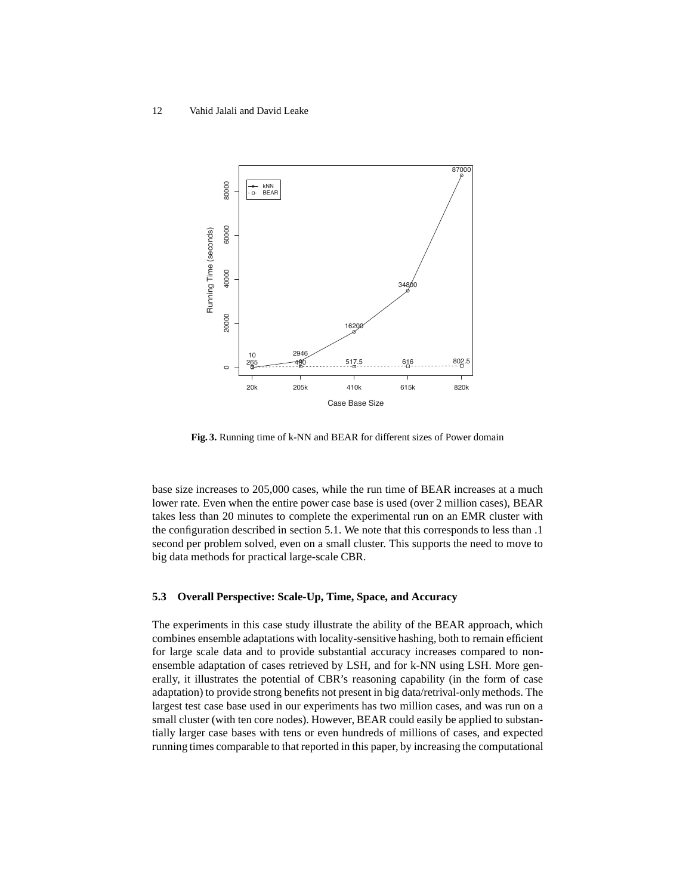

**Fig. 3.** Running time of k-NN and BEAR for different sizes of Power domain

base size increases to 205,000 cases, while the run time of BEAR increases at a much lower rate. Even when the entire power case base is used (over 2 million cases), BEAR takes less than 20 minutes to complete the experimental run on an EMR cluster with the configuration described in section 5.1. We note that this corresponds to less than .1 second per problem solved, even on a small cluster. This supports the need to move to big data methods for practical large-scale CBR.

#### **5.3 Overall Perspective: Scale-Up, Time, Space, and Accuracy**

The experiments in this case study illustrate the ability of the BEAR approach, which combines ensemble adaptations with locality-sensitive hashing, both to remain efficient for large scale data and to provide substantial accuracy increases compared to nonensemble adaptation of cases retrieved by LSH, and for k-NN using LSH. More generally, it illustrates the potential of CBR's reasoning capability (in the form of case adaptation) to provide strong benefits not present in big data/retrival-only methods. The largest test case base used in our experiments has two million cases, and was run on a small cluster (with ten core nodes). However, BEAR could easily be applied to substantially larger case bases with tens or even hundreds of millions of cases, and expected running times comparable to that reported in this paper, by increasing the computational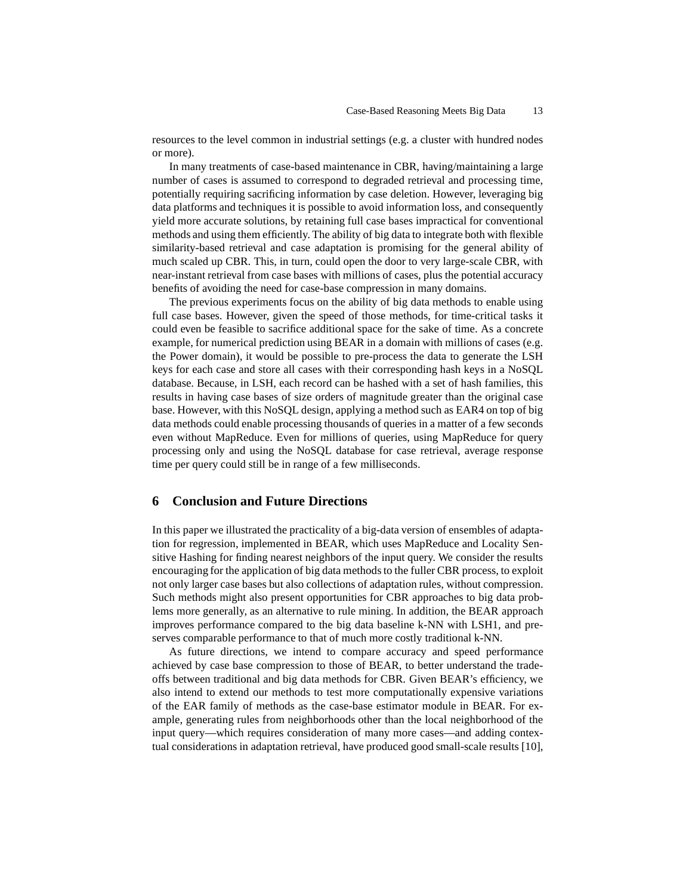resources to the level common in industrial settings (e.g. a cluster with hundred nodes or more).

In many treatments of case-based maintenance in CBR, having/maintaining a large number of cases is assumed to correspond to degraded retrieval and processing time, potentially requiring sacrificing information by case deletion. However, leveraging big data platforms and techniques it is possible to avoid information loss, and consequently yield more accurate solutions, by retaining full case bases impractical for conventional methods and using them efficiently. The ability of big data to integrate both with flexible similarity-based retrieval and case adaptation is promising for the general ability of much scaled up CBR. This, in turn, could open the door to very large-scale CBR, with near-instant retrieval from case bases with millions of cases, plus the potential accuracy benefits of avoiding the need for case-base compression in many domains.

The previous experiments focus on the ability of big data methods to enable using full case bases. However, given the speed of those methods, for time-critical tasks it could even be feasible to sacrifice additional space for the sake of time. As a concrete example, for numerical prediction using BEAR in a domain with millions of cases (e.g. the Power domain), it would be possible to pre-process the data to generate the LSH keys for each case and store all cases with their corresponding hash keys in a NoSQL database. Because, in LSH, each record can be hashed with a set of hash families, this results in having case bases of size orders of magnitude greater than the original case base. However, with this NoSQL design, applying a method such as EAR4 on top of big data methods could enable processing thousands of queries in a matter of a few seconds even without MapReduce. Even for millions of queries, using MapReduce for query processing only and using the NoSQL database for case retrieval, average response time per query could still be in range of a few milliseconds.

### **6 Conclusion and Future Directions**

In this paper we illustrated the practicality of a big-data version of ensembles of adaptation for regression, implemented in BEAR, which uses MapReduce and Locality Sensitive Hashing for finding nearest neighbors of the input query. We consider the results encouraging for the application of big data methods to the fuller CBR process, to exploit not only larger case bases but also collections of adaptation rules, without compression. Such methods might also present opportunities for CBR approaches to big data problems more generally, as an alternative to rule mining. In addition, the BEAR approach improves performance compared to the big data baseline k-NN with LSH1, and preserves comparable performance to that of much more costly traditional k-NN.

As future directions, we intend to compare accuracy and speed performance achieved by case base compression to those of BEAR, to better understand the tradeoffs between traditional and big data methods for CBR. Given BEAR's efficiency, we also intend to extend our methods to test more computationally expensive variations of the EAR family of methods as the case-base estimator module in BEAR. For example, generating rules from neighborhoods other than the local neighborhood of the input query—which requires consideration of many more cases—and adding contextual considerations in adaptation retrieval, have produced good small-scale results [10],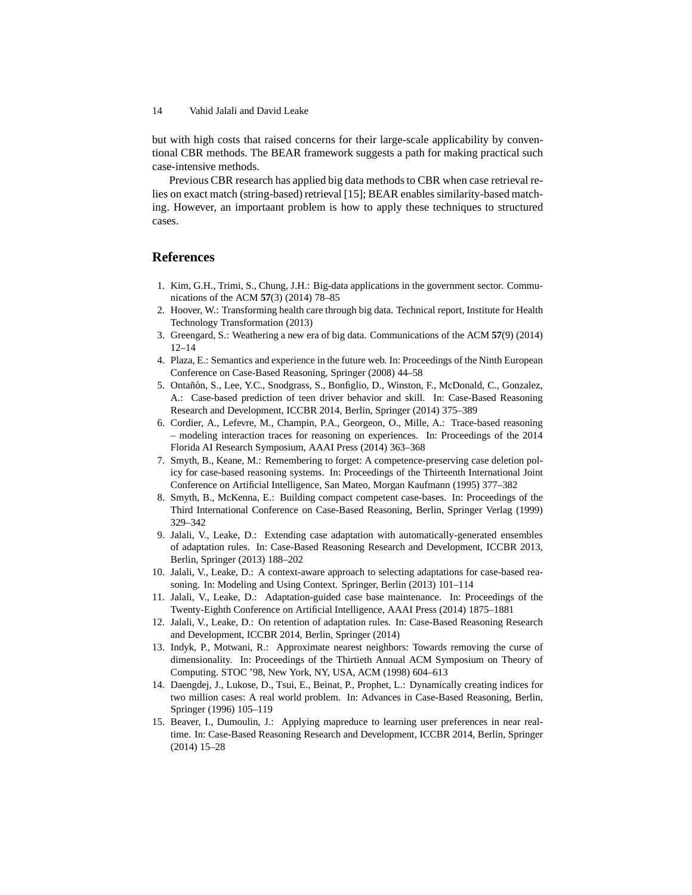but with high costs that raised concerns for their large-scale applicability by conventional CBR methods. The BEAR framework suggests a path for making practical such case-intensive methods.

Previous CBR research has applied big data methods to CBR when case retrieval relies on exact match (string-based) retrieval [15]; BEAR enables similarity-based matching. However, an importaant problem is how to apply these techniques to structured cases.

# **References**

- 1. Kim, G.H., Trimi, S., Chung, J.H.: Big-data applications in the government sector. Communications of the ACM **57**(3) (2014) 78–85
- 2. Hoover, W.: Transforming health care through big data. Technical report, Institute for Health Technology Transformation (2013)
- 3. Greengard, S.: Weathering a new era of big data. Communications of the ACM **57**(9) (2014) 12–14
- 4. Plaza, E.: Semantics and experience in the future web. In: Proceedings of the Ninth European Conference on Case-Based Reasoning, Springer (2008) 44–58
- 5. Ontañón, S., Lee, Y.C., Snodgrass, S., Bonfiglio, D., Winston, F., McDonald, C., Gonzalez, A.: Case-based prediction of teen driver behavior and skill. In: Case-Based Reasoning Research and Development, ICCBR 2014, Berlin, Springer (2014) 375–389
- 6. Cordier, A., Lefevre, M., Champin, P.A., Georgeon, O., Mille, A.: Trace-based reasoning – modeling interaction traces for reasoning on experiences. In: Proceedings of the 2014 Florida AI Research Symposium, AAAI Press (2014) 363–368
- 7. Smyth, B., Keane, M.: Remembering to forget: A competence-preserving case deletion policy for case-based reasoning systems. In: Proceedings of the Thirteenth International Joint Conference on Artificial Intelligence, San Mateo, Morgan Kaufmann (1995) 377–382
- 8. Smyth, B., McKenna, E.: Building compact competent case-bases. In: Proceedings of the Third International Conference on Case-Based Reasoning, Berlin, Springer Verlag (1999) 329–342
- 9. Jalali, V., Leake, D.: Extending case adaptation with automatically-generated ensembles of adaptation rules. In: Case-Based Reasoning Research and Development, ICCBR 2013, Berlin, Springer (2013) 188–202
- 10. Jalali, V., Leake, D.: A context-aware approach to selecting adaptations for case-based reasoning. In: Modeling and Using Context. Springer, Berlin (2013) 101–114
- 11. Jalali, V., Leake, D.: Adaptation-guided case base maintenance. In: Proceedings of the Twenty-Eighth Conference on Artificial Intelligence, AAAI Press (2014) 1875–1881
- 12. Jalali, V., Leake, D.: On retention of adaptation rules. In: Case-Based Reasoning Research and Development, ICCBR 2014, Berlin, Springer (2014)
- 13. Indyk, P., Motwani, R.: Approximate nearest neighbors: Towards removing the curse of dimensionality. In: Proceedings of the Thirtieth Annual ACM Symposium on Theory of Computing. STOC '98, New York, NY, USA, ACM (1998) 604–613
- 14. Daengdej, J., Lukose, D., Tsui, E., Beinat, P., Prophet, L.: Dynamically creating indices for two million cases: A real world problem. In: Advances in Case-Based Reasoning, Berlin, Springer (1996) 105–119
- 15. Beaver, I., Dumoulin, J.: Applying mapreduce to learning user preferences in near realtime. In: Case-Based Reasoning Research and Development, ICCBR 2014, Berlin, Springer (2014) 15–28